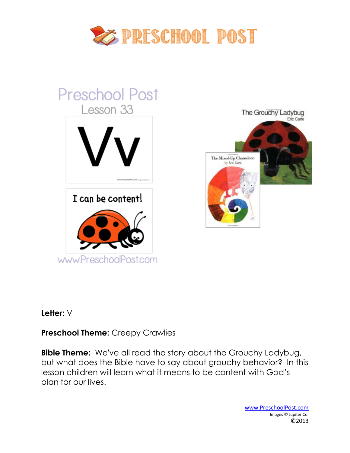



#### **Letter:** V

#### **Preschool Theme:** Creepy Crawlies

**Bible Theme:** We've all read the story about the Grouchy Ladybug, but what does the Bible have to say about grouchy behavior? In this lesson children will learn what it means to be content with God's plan for our lives.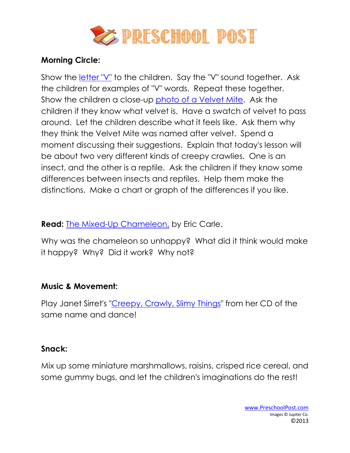

# **Morning Circle:**

Show the *letter* "V" to the children. Say the "V" sound together. Ask the children for examples of "V" words. Repeat these together. Show the children a close-up [photo of a Velvet Mite.](http://www.preschoolpost.com/MayCreepyCrawlies.html) Ask the children if they know what velvet is. Have a swatch of velvet to pass around. Let the children describe what it feels like. Ask them why they think the Velvet Mite was named after velvet. Spend a moment discussing their suggestions. Explain that today's lesson will be about two very different kinds of creepy crawlies. One is an insect, and the other is a reptile. Ask the children if they know some differences between insects and reptiles. Help them make the distinctions. Make a chart or graph of the differences if you like.

**Read:** [The Mixed-Up Chameleon,](http://www.amazon.com/gp/product/0064431622/ref=as_li_ss_tl?ie=UTF8&tag=christpreschp-20&linkCode=as2&camp=1789&creative=390957&creativeASIN=0064431622) by Eric Carle.

Why was the chameleon so unhappy? What did it think would make it happy? Why? Did it work? Why not?

#### **Music & Movement:**

Play Janet Sirret's ["Creepy, Crawly, Slimy Things"](http://www.amazon.com/gp/product/B0012JAU8A/ref=as_li_wdgt_fl_ex?&linkCode=wag&tag=llbugs-20) from her CD of the same name and dance!

#### **Snack:**

Mix up some miniature marshmallows, raisins, crisped rice cereal, and some gummy bugs, and let the children's imaginations do the rest!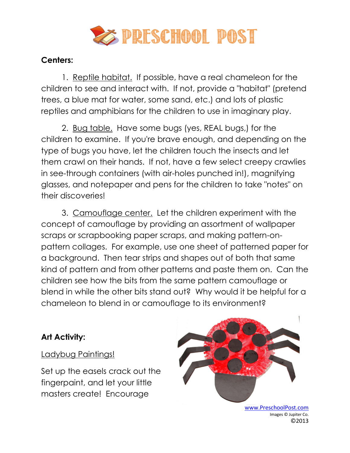

# **Centers:**

1. Reptile habitat. If possible, have a real chameleon for the children to see and interact with. If not, provide a "habitat" (pretend trees, a blue mat for water, some sand, etc.) and lots of plastic reptiles and amphibians for the children to use in imaginary play.

2. Bug table. Have some bugs (yes, REAL bugs,) for the children to examine. If you're brave enough, and depending on the type of bugs you have, let the children touch the insects and let them crawl on their hands. If not, have a few select creepy crawlies in see-through containers (with air-holes punched in!), magnifying glasses, and notepaper and pens for the children to take "notes" on their discoveries!

3. Camouflage center. Let the children experiment with the concept of camouflage by providing an assortment of wallpaper scraps or scrapbooking paper scraps, and making pattern-onpattern collages. For example, use one sheet of patterned paper for a background. Then tear strips and shapes out of both that same kind of pattern and from other patterns and paste them on. Can the children see how the bits from the same pattern camouflage or blend in while the other bits stand out? Why would it be helpful for a chameleon to blend in or camouflage to its environment?

# **Art Activity:**

#### Ladybug Paintings!

Set up the easels crack out the fingerpaint, and let your little masters create! Encourage

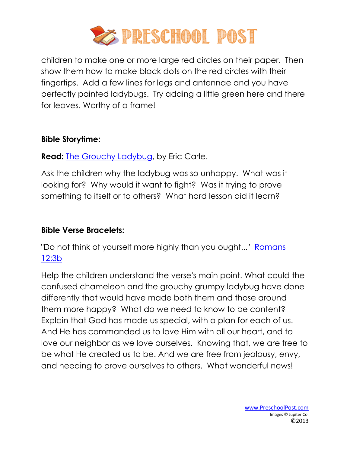

children to make one or more large red circles on their paper. Then show them how to make black dots on the red circles with their fingertips. Add a few lines for legs and antennae and you have perfectly painted ladybugs. Try adding a little green here and there for leaves. Worthy of a frame!

#### **Bible Storytime:**

**Read:** [The Grouchy Ladybug,](http://www.amazon.com/gp/product/0064434508/ref=as_li_ss_tl?ie=UTF8&tag=christpreschp-20&linkCode=as2&camp=1789&creative=390957&creativeASIN=0064434508) by Eric Carle.

Ask the children why the ladybug was so unhappy. What was it looking for? Why would it want to fight? Was it trying to prove something to itself or to others? What hard lesson did it learn?

# **Bible Verse Bracelets:**

"Do not think of yourself more highly than you ought..." [Romans](http://www.preschoolpost.com/MayCreepyCrawlies.html)  [12:3b](http://www.preschoolpost.com/MayCreepyCrawlies.html)

Help the children understand the verse's main point. What could the confused chameleon and the grouchy grumpy ladybug have done differently that would have made both them and those around them more happy? What do we need to know to be content? Explain that God has made us special, with a plan for each of us. And He has commanded us to love Him with all our heart, and to love our neighbor as we love ourselves. Knowing that, we are free to be what He created us to be. And we are free from jealousy, envy, and needing to prove ourselves to others. What wonderful news!